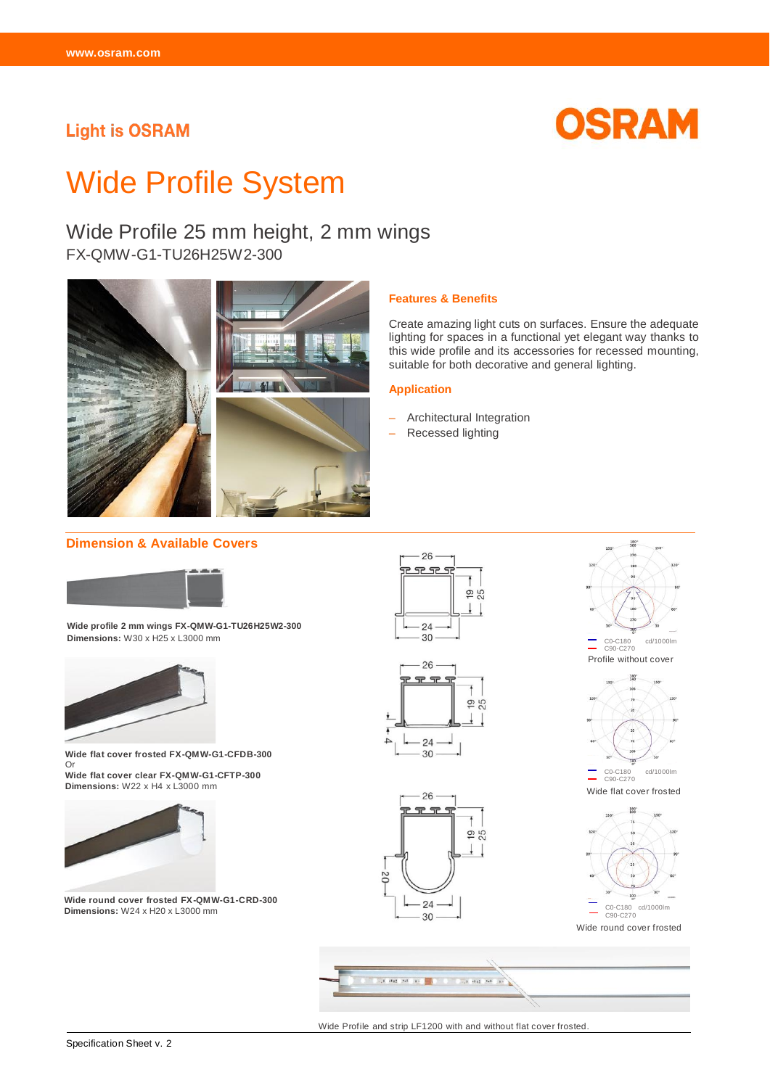# **Light is OSRAM**



# Wide Profile System

# Wide Profile 25 mm height, 2 mm wings

FX-QMW-G1-TU26H25W2-300



#### **Features & Benefits**

Create amazing light cuts on surfaces. Ensure the adequate lighting for spaces in a functional yet elegant way thanks to this wide profile and its accessories for recessed mounting, suitable for both decorative and general lighting.

#### **Application**

- Architectural Integration
- Recessed lighting

#### **Dimension & Available Covers**



**Wide profile 2 mm wings FX-QMW-G1-TU26H25W2-300 Dimensions:** W30 x H25 x L3000 mm



**Wide flat cover frosted FX-QMW-G1-CFDB-300**  Or **Wide flat cover clear FX-QMW-G1-CFTP-300**

**Dimensions:** W22 x H4 x L3000 mm



**Wide round cover frosted FX-QMW-G1-CRD-300 Dimensions:** W24 x H20 x L3000 mm





 $.26$ 

24 30

D<sub>2</sub>

 $19.5$ 



180<br>360



Wide round cover frosted



Wide Profile and strip LF1200 with and without flat cover frosted.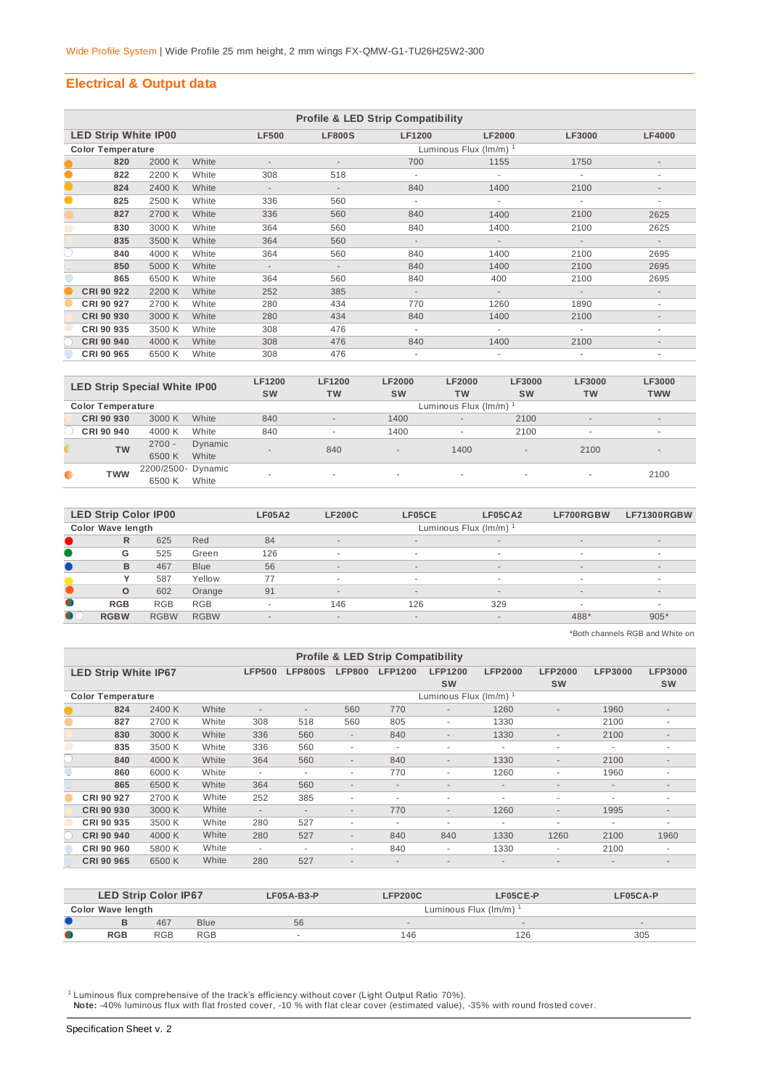# **Electrical & Output data**

|           | <b>Profile &amp; LED Strip Compatibility</b> |        |       |                          |                          |               |               |                          |                          |  |  |  |  |
|-----------|----------------------------------------------|--------|-------|--------------------------|--------------------------|---------------|---------------|--------------------------|--------------------------|--|--|--|--|
|           | <b>LED Strip White IP00</b>                  |        |       | <b>LF500</b>             | <b>LF800S</b>            | <b>LF1200</b> | <b>LF2000</b> | <b>LF3000</b>            | <b>LF4000</b>            |  |  |  |  |
|           | <b>Color Temperature</b>                     |        |       |                          | Luminous Flux (Im/m) 1   |               |               |                          |                          |  |  |  |  |
|           | 820                                          | 2000 K | White |                          |                          | 700           | 1155          | 1750                     |                          |  |  |  |  |
| $\bullet$ | 822                                          | 2200 K | White | 308                      | 518                      |               |               |                          | ٠                        |  |  |  |  |
| $\bullet$ | 824                                          | 2400 K | White | $\overline{\phantom{a}}$ | $\overline{\phantom{a}}$ | 840           | 1400          | 2100                     | $\overline{\phantom{a}}$ |  |  |  |  |
| $\bullet$ | 825                                          | 2500 K | White | 336                      | 560                      | ٠             | ÷.            | ٠                        | ٠                        |  |  |  |  |
|           | 827                                          | 2700 K | White | 336                      | 560                      | 840           | 1400          | 2100                     | 2625                     |  |  |  |  |
|           | 830                                          | 3000 K | White | 364                      | 560                      | 840           | 1400          | 2100                     | 2625                     |  |  |  |  |
|           | 835                                          | 3500 K | White | 364                      | 560                      | $\sim$        | $\sim$        | $\overline{\phantom{a}}$ | $\sim$                   |  |  |  |  |
| C         | 840                                          | 4000 K | White | 364                      | 560                      | 840           | 1400          | 2100                     | 2695                     |  |  |  |  |
|           | 850                                          | 5000 K | White | $\overline{\phantom{a}}$ | $\overline{\phantom{a}}$ | 840           | 1400          | 2100                     | 2695                     |  |  |  |  |
|           | 865                                          | 6500 K | White | 364                      | 560                      | 840           | 400           | 2100                     | 2695                     |  |  |  |  |
|           | CRI 90 922                                   | 2200 K | White | 252                      | 385                      | $\sim$        | $\sim$        | $\overline{\phantom{a}}$ | $\overline{\phantom{a}}$ |  |  |  |  |
|           | CRI 90 927                                   | 2700 K | White | 280                      | 434                      | 770           | 1260          | 1890                     | ٠                        |  |  |  |  |
|           | CRI 90 930                                   | 3000 K | White | 280                      | 434                      | 840           | 1400          | 2100                     | $\overline{\phantom{a}}$ |  |  |  |  |
|           | CRI 90 935                                   | 3500 K | White | 308                      | 476                      | ٠             | ٠             |                          | ٠                        |  |  |  |  |
|           | CRI 90 940                                   | 4000 K | White | 308                      | 476                      | 840           | 1400          | 2100                     | $\overline{\phantom{a}}$ |  |  |  |  |
|           | CRI 90 965                                   | 6500 K | White | 308                      | 476                      |               |               |                          |                          |  |  |  |  |

|           | <b>LED Strip Special White IP00</b> |                    |         | <b>LF1200</b><br><b>SW</b> | <b>LF1200</b><br><b>TW</b> | <b>LF2000</b><br><b>SW</b> | <b>LF2000</b><br><b>TW</b> | <b>LF3000</b><br><b>SW</b> | <b>LF3000</b><br><b>TW</b> | <b>LF3000</b><br><b>TWW</b> |  |  |  |
|-----------|-------------------------------------|--------------------|---------|----------------------------|----------------------------|----------------------------|----------------------------|----------------------------|----------------------------|-----------------------------|--|--|--|
|           | <b>Color Temperature</b>            |                    |         |                            | Luminous Flux (Im/m)       |                            |                            |                            |                            |                             |  |  |  |
|           | CRI 90 930                          | 3000 K             | White   | 840                        | $\overline{\phantom{a}}$   | 1400                       | $\overline{\phantom{a}}$   | 2100                       | $\overline{a}$             | $\sim$                      |  |  |  |
|           | CRI 90 940                          | 4000 K             | White   | 840                        |                            | 1400                       |                            | 2100                       | $\overline{\phantom{a}}$   | $\sim$                      |  |  |  |
|           | <b>TW</b>                           | $2700 -$           | Dynamic | $\overline{\phantom{a}}$   | 840                        |                            | 1400                       |                            | 2100                       | $\overline{a}$              |  |  |  |
|           |                                     | 6500K              | White   |                            |                            | $\overline{\phantom{a}}$   |                            | $\sim$                     |                            |                             |  |  |  |
| $\bullet$ | <b>TWW</b>                          | 2200/2500- Dynamic |         |                            |                            |                            |                            |                            |                            | 2100                        |  |  |  |
|           |                                     | 6500 K             | White   |                            |                            | ۰                          | $\overline{\phantom{a}}$   | $\sim$                     | $\overline{\phantom{a}}$   |                             |  |  |  |

|           | <b>LED Strip Color IP00</b> |             |             | <b>LF05A2</b>            | <b>LF200C</b>            | LF05CE | LF05CA2                  | LF700RGBW | <b>LF71300RGBW</b>       |
|-----------|-----------------------------|-------------|-------------|--------------------------|--------------------------|--------|--------------------------|-----------|--------------------------|
|           | Color Wave length           |             |             |                          |                          |        | Luminous Flux (Im/m)     |           |                          |
|           | R                           | 625         | Red         | 84                       | $\sim$                   | $\sim$ | $\overline{\phantom{a}}$ | $\sim$    | $\sim$                   |
|           | G                           | 525         | Green       | 126                      | $\overline{\phantom{a}}$ |        | $\sim$                   |           | ۰                        |
|           | B                           | 467         | <b>Blue</b> | 56                       | $\overline{\phantom{a}}$ | $\sim$ | $\sim$                   | $\sim$    | $\overline{\phantom{a}}$ |
|           |                             | 587         | Yellow      | 77                       | ٠                        |        | $\sim$                   |           |                          |
|           | $\circ$                     | 602         | Orange      | 91                       | $\overline{\phantom{a}}$ | $\sim$ | $\overline{\phantom{a}}$ | $\sim$    | $\overline{\phantom{a}}$ |
| $\bullet$ | <b>RGB</b>                  | <b>RGB</b>  | <b>RGB</b>  | $\overline{\phantom{a}}$ | 146                      | 126    | 329                      |           |                          |
| $\bullet$ | <b>RGBW</b>                 | <b>RGBW</b> | <b>RGBW</b> | $\overline{\phantom{a}}$ | $\overline{\phantom{a}}$ | $\sim$ | $\overline{\phantom{a}}$ | 488*      | $905*$                   |

\*Both channels RGB and White on

| <b>Profile &amp; LED Strip Compatibility</b> |        |       |                          |                          |                          |                          |                          |                          |                          |                          |                          |
|----------------------------------------------|--------|-------|--------------------------|--------------------------|--------------------------|--------------------------|--------------------------|--------------------------|--------------------------|--------------------------|--------------------------|
| <b>LED Strip White IP67</b>                  |        |       | <b>LFP500</b>            | <b>LFP800S</b>           | <b>LFP800</b>            | <b>LFP1200</b>           | <b>LFP1200</b>           | <b>LFP2000</b>           | <b>LFP2000</b>           | <b>LFP3000</b>           | <b>LFP3000</b>           |
|                                              |        |       |                          |                          |                          |                          | <b>SW</b>                |                          | <b>SW</b>                |                          | <b>SW</b>                |
| <b>Color Temperature</b>                     |        |       |                          |                          |                          |                          | Luminous Flux (Im/m) 1   |                          |                          |                          |                          |
| 824                                          | 2400 K | White | $\overline{\phantom{a}}$ | $\overline{\phantom{a}}$ | 560                      | 770                      | $\overline{\phantom{a}}$ | 1260                     | ٠                        | 1960                     | $\overline{\phantom{a}}$ |
| 827                                          | 2700 K | White | 308                      | 518                      | 560                      | 805                      | ۰                        | 1330                     |                          | 2100                     | ۰                        |
| 830                                          | 3000 K | White | 336                      | 560                      | $\overline{\phantom{a}}$ | 840                      | $\overline{\phantom{a}}$ | 1330                     | $\sim$                   | 2100                     | ٠                        |
| 835                                          | 3500 K | White | 336                      | 560                      | ٠                        | ٠                        | ٠                        | ٠                        | ٠                        |                          | ٠                        |
| 840                                          | 4000 K | White | 364                      | 560                      | $\overline{\phantom{a}}$ | 840                      | $\overline{\phantom{a}}$ | 1330                     | $\overline{\phantom{a}}$ | 2100                     | $\overline{\phantom{a}}$ |
| 860                                          | 6000 K | White | ٠                        | ٠                        | ٠                        | 770                      | ٠                        | 1260                     | ٠                        | 1960                     | ٠                        |
| 865                                          | 6500 K | White | 364                      | 560                      | $\overline{\phantom{a}}$ | $\overline{\phantom{a}}$ | ٠                        | $\overline{\phantom{a}}$ | ٠                        | $\overline{\phantom{a}}$ | $\overline{\phantom{a}}$ |
| CRI 90 927                                   | 2700 K | White | 252                      | 385                      | $\overline{\phantom{a}}$ | ۰                        | ٠                        | ۰                        | ٠                        | ٠                        | ٠                        |
| CRI 90 930                                   | 3000 K | White | $\overline{\phantom{a}}$ | $\overline{\phantom{a}}$ | $\overline{\phantom{a}}$ | 770                      | $\overline{\phantom{a}}$ | 1260                     | $\sim$                   | 1995                     | ٠                        |
| CRI 90 935                                   | 3500 K | White | 280                      | 527                      | ۰                        | ۰                        | $\blacksquare$           | ۰                        | ۰                        |                          | ۰                        |
| <b>CRI 90 940</b>                            | 4000 K | White | 280                      | 527                      | $\overline{\phantom{a}}$ | 840                      | 840                      | 1330                     | 1260                     | 2100                     | 1960                     |
| CRI 90 960                                   | 5800 K | White | $\overline{\phantom{a}}$ | $\overline{\phantom{a}}$ | $\overline{\phantom{a}}$ | 840                      | ٠                        | 1330                     | ٠                        | 2100                     | $\overline{\phantom{a}}$ |
| CRI 90 965                                   | 6500 K | White | 280                      | 527                      | $\overline{\phantom{a}}$ | $\overline{\phantom{a}}$ | -                        | $\overline{\phantom{a}}$ | ٠                        | $\overline{\phantom{a}}$ | ٠                        |

|   | <b>LED Strip Color IP67</b> |            |            | $LF05A-B3-P$ | <b>LFP200C</b>       | LF05CE-P | LF05CA-P |  |  |  |
|---|-----------------------------|------------|------------|--------------|----------------------|----------|----------|--|--|--|
|   | <b>Color Wave length</b>    |            |            |              | Luminous Flux (Im/m) |          |          |  |  |  |
|   | 467<br><b>Blue</b>          |            | 56         |              | $\sim$               | $\sim$   |          |  |  |  |
| O | <b>RGB</b>                  | <b>RGB</b> | <b>RGB</b> |              | 146                  | 126      | 305      |  |  |  |

<sup>1</sup> Luminous flux comprehensive of the track's efficiency without cover (Light Output Ratio 70%).<br>Note: -40% luminous flux with flat frosted cover, -10 % with flat clear cover (estimated value), -35% with round frosted cov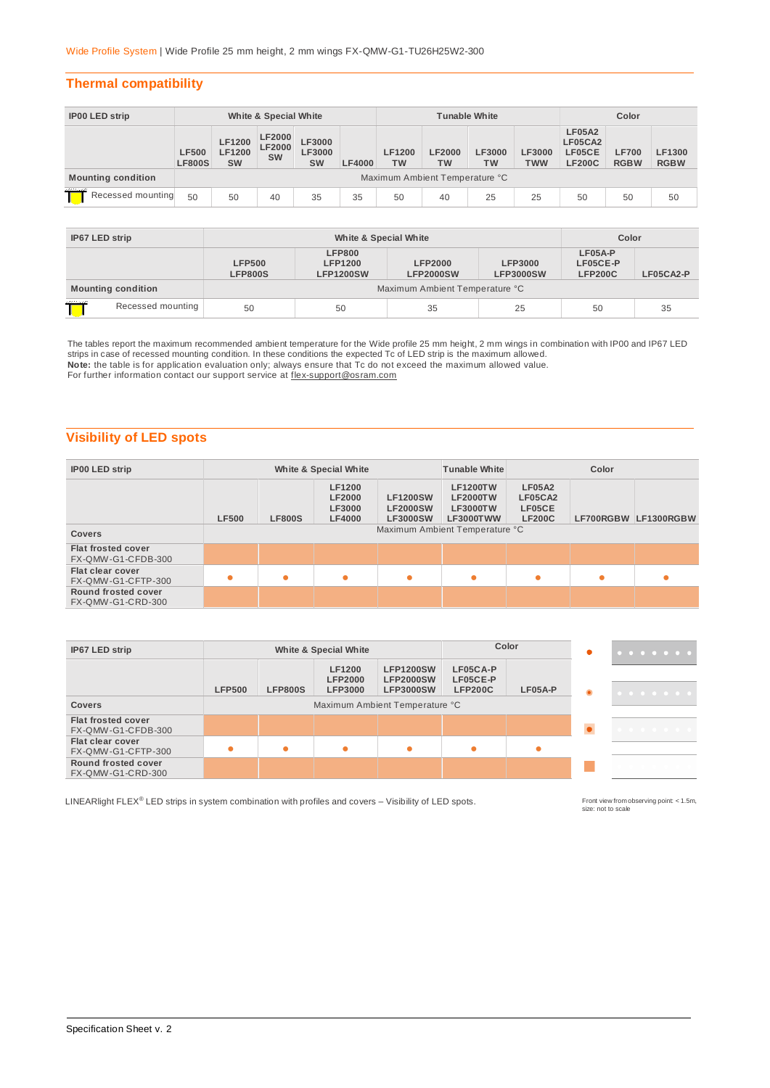#### **Thermal compatibility**

| <b>IP00 LED strip</b>     | White & Special White         |                                             |                                      |                               | <b>Tunable White</b>           |                            |                     |                     | Color                       |                                                     |                             |                       |
|---------------------------|-------------------------------|---------------------------------------------|--------------------------------------|-------------------------------|--------------------------------|----------------------------|---------------------|---------------------|-----------------------------|-----------------------------------------------------|-----------------------------|-----------------------|
|                           | <b>LF500</b><br><b>LF800S</b> | <b>LF1200</b><br><b>LF1200</b><br><b>SW</b> | LF2000<br><b>LF2000</b><br><b>SW</b> | LF3000<br>LF3000<br><b>SW</b> | <b>LF4000</b>                  | <b>LF1200</b><br><b>TW</b> | <b>LF2000</b><br>тw | LF3000<br><b>TW</b> | <b>LF3000</b><br><b>TWW</b> | <b>LF05A2</b><br>LF05CA2<br>LF05CE<br><b>LF200C</b> | <b>LF700</b><br><b>RGBW</b> | LF1300<br><b>RGBW</b> |
| <b>Mounting condition</b> |                               |                                             |                                      |                               | Maximum Ambient Temperature °C |                            |                     |                     |                             |                                                     |                             |                       |
| Recessed mounting         | 50                            | 50                                          | 40                                   | 35                            | 35                             | 50                         | 40                  | 25                  | 25                          | 50                                                  | 50                          | 50                    |

| IP67 LED strip            |  |                                 | Color                                               |                                    |                                    |                                         |           |
|---------------------------|--|---------------------------------|-----------------------------------------------------|------------------------------------|------------------------------------|-----------------------------------------|-----------|
|                           |  | <b>LFP500</b><br><b>LFP800S</b> | <b>LFP800</b><br><b>LFP1200</b><br><b>LFP1200SW</b> | <b>LFP2000</b><br><b>LFP2000SW</b> | <b>LFP3000</b><br><b>LFP3000SW</b> | $LFO5A-P$<br>LF05CE-P<br><b>LFP200C</b> | LF05CA2-P |
| <b>Mounting condition</b> |  |                                 |                                                     | Maximum Ambient Temperature °C     |                                    |                                         |           |
| Recessed mounting         |  | 50                              | 50                                                  | 35                                 | 25                                 | 50                                      | 35        |

The tables report the maximum recommended ambient temperature for the Wide profile 25 mm height, 2 mm wings in combination with IP00 and IP67 LED strips in case of recessed mounting condition. In these conditions the expected Tc of LED strip is the maximum allowed.

**Note:** the table is for application evaluation only; always ensure that Tc do not exceed the maximum allowed value.<br>For further information contact our support service at <u>flex-support@osram.com</u>

# **Visibility of LED spots**

| <b>IP00 LED strip</b>                                                                                                                                                                                                     |                                | White & Special White |   |           |                                                     | <b>Tunable White</b><br>Color |                      |  |
|---------------------------------------------------------------------------------------------------------------------------------------------------------------------------------------------------------------------------|--------------------------------|-----------------------|---|-----------|-----------------------------------------------------|-------------------------------|----------------------|--|
| <b>LF1200</b><br><b>LF1200TW</b><br><b>LF1200SW</b><br><b>LF2000</b><br><b>LF2000TW</b><br>LF3000<br><b>LF3000TW</b><br><b>LF2000SW</b><br><b>LF500</b><br><b>LF800S</b><br><b>LF4000</b><br><b>LF3000SW</b><br>LF3000TWW |                                |                       |   |           | <b>LF05A2</b><br>LF05CA2<br>LF05CE<br><b>LF200C</b> |                               | LF700RGBW LF1300RGBW |  |
| <b>Covers</b>                                                                                                                                                                                                             | Maximum Ambient Temperature °C |                       |   |           |                                                     |                               |                      |  |
| <b>Flat frosted cover</b><br>FX-QMW-G1-CFDB-300                                                                                                                                                                           |                                |                       |   |           |                                                     |                               |                      |  |
| Flat clear cover<br>FX-QMW-G1-CFTP-300                                                                                                                                                                                    | $\bullet$                      |                       | ٠ | $\bullet$ | $\bullet$                                           | ٠                             |                      |  |
| Round frosted cover<br>FX-QMW-G1-CRD-300                                                                                                                                                                                  |                                |                       |   |           |                                                     |                               |                      |  |

| IP67 LED strip                                  |               | Color<br>White & Special White |                                                   |                                                          |                                        |           |   | . |
|-------------------------------------------------|---------------|--------------------------------|---------------------------------------------------|----------------------------------------------------------|----------------------------------------|-----------|---|---|
|                                                 | <b>LFP500</b> | <b>LFP800S</b>                 | <b>LF1200</b><br><b>LFP2000</b><br><b>LFP3000</b> | <b>LFP1200SW</b><br><b>LFP2000SW</b><br><b>LFP3000SW</b> | LF05CA-P<br>LF05CE-P<br><b>LFP200C</b> | $LF05A-P$ | ۰ | . |
| <b>Covers</b>                                   |               | Maximum Ambient Temperature °C |                                                   |                                                          |                                        |           |   |   |
| <b>Flat frosted cover</b><br>FX-QMW-G1-CFDB-300 |               |                                |                                                   |                                                          |                                        |           |   | . |
| Flat clear cover<br>FX-QMW-G1-CFTP-300          |               |                                | ۸                                                 | $\bullet$                                                | $\bullet$                              |           |   |   |
| Round frosted cover<br>FX-QMW-G1-CRD-300        |               |                                |                                                   |                                                          |                                        |           |   |   |

LINEARlight FLEX<sup>®</sup> LED strips in system combination with profiles and covers – Visibility of LED spots.

Front view from observing point: < 1.5m,<br>size: not to scale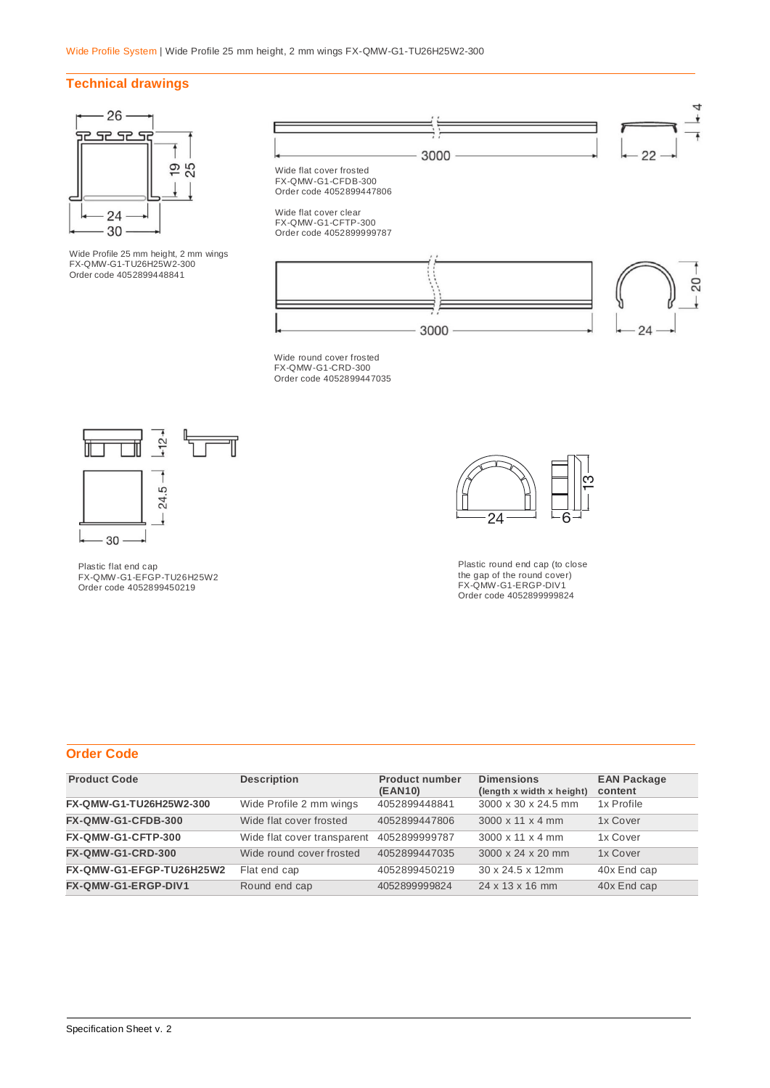# **Technical drawings**



Wide Profile 25 mm height, 2 mm wings FX-QMW-G1-TU26H25W2-300 Order code 4052899448841





Wide round cover frosted FX-QMW-G1-CRD-300 Order code 4052899447035





Plastic round end cap (to close the gap of the round cover) FX-QMW-G1-ERGP-DIV1 Order code 4052899999824

Plastic flat end cap FX-QMW-G1-EFGP-TU26H25W2 Order code 4052899450219

### **Order Code**

| <b>Product Code</b>      | <b>Description</b>          | <b>Product number</b><br>(EAN10) | <b>Dimensions</b><br>(length x width x height) | <b>EAN Package</b><br>content |
|--------------------------|-----------------------------|----------------------------------|------------------------------------------------|-------------------------------|
| FX-QMW-G1-TU26H25W2-300  | Wide Profile 2 mm wings     | 4052899448841                    | 3000 x 30 x 24.5 mm                            | 1x Profile                    |
| FX-QMW-G1-CFDB-300       | Wide flat cover frosted     | 4052899447806                    | $3000 \times 11 \times 4$ mm                   | 1x Cover                      |
| FX-QMW-G1-CFTP-300       | Wide flat cover transparent | 4052899999787                    | $3000 \times 11 \times 4$ mm                   | 1x Cover                      |
| <b>FX-QMW-G1-CRD-300</b> | Wide round cover frosted    | 4052899447035                    | 3000 x 24 x 20 mm                              | 1x Cover                      |
| FX-QMW-G1-EFGP-TU26H25W2 | Flat end cap                | 4052899450219                    | $30 \times 24.5 \times 12$ mm                  | 40x End cap                   |
| FX-QMW-G1-ERGP-DIV1      | Round end cap               | 4052899999824                    | 24 x 13 x 16 mm                                | 40x End cap                   |